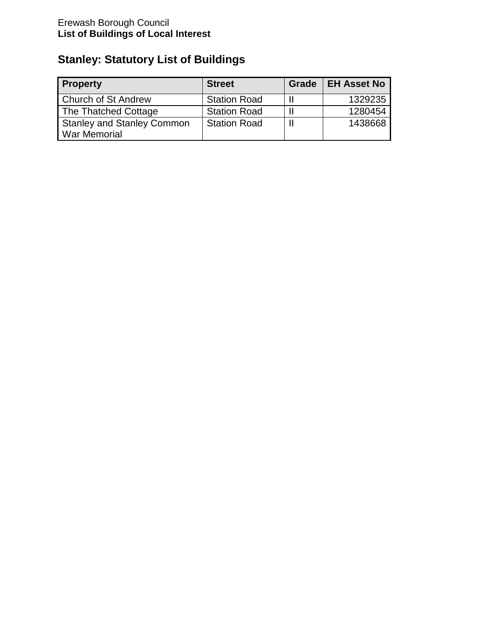# **Stanley: Statutory List of Buildings**

| <b>Property</b>                   | <b>Street</b>       | Grade | <b>EH Asset No</b> |
|-----------------------------------|---------------------|-------|--------------------|
| <b>Church of St Andrew</b>        | <b>Station Road</b> |       | 1329235            |
| The Thatched Cottage              | <b>Station Road</b> |       | 1280454            |
| <b>Stanley and Stanley Common</b> | <b>Station Road</b> |       | 1438668            |
| War Memorial                      |                     |       |                    |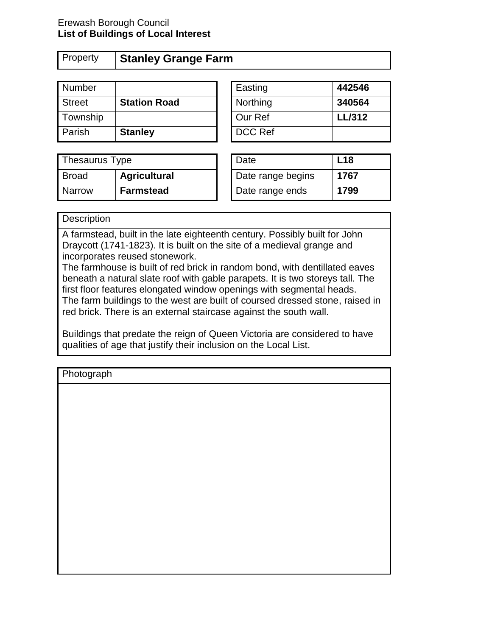#### Erewash Borough Council **List of Buildings of Local Interest**

## Property **Stanley Grange Farm**

| Number        |                     | Easting  | 442546        |
|---------------|---------------------|----------|---------------|
| <b>Street</b> | <b>Station Road</b> | Northing | 340564        |
| Township      |                     | Our Ref  | <b>LL/312</b> |
| l Parish      | <b>Stanley</b>      | DCC Ref  |               |

| Easting  | 442546        |
|----------|---------------|
| Northing | 340564        |
| Our Ref  | <b>LL/312</b> |
| DCC Ref  |               |

| Thesaurus Type |                     | Date              | .18  |
|----------------|---------------------|-------------------|------|
| Broad          | <b>Agricultural</b> | Date range begins | 1767 |
| <b>Narrow</b>  | <b>Farmstead</b>    | Date range ends   | 1799 |

| Date              | L18  |
|-------------------|------|
| Date range begins | 1767 |
| Date range ends   | 1799 |

#### **Description**

A farmstead, built in the late eighteenth century. Possibly built for John Draycott (1741-1823). It is built on the site of a medieval grange and incorporates reused stonework.

The farmhouse is built of red brick in random bond, with dentillated eaves beneath a natural slate roof with gable parapets. It is two storeys tall. The first floor features elongated window openings with segmental heads. The farm buildings to the west are built of coursed dressed stone, raised in red brick. There is an external staircase against the south wall.

Buildings that predate the reign of Queen Victoria are considered to have qualities of age that justify their inclusion on the Local List.

**Photograph**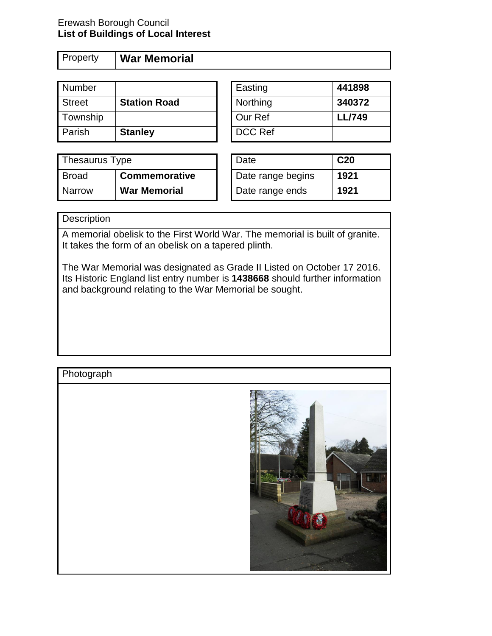#### Erewash Borough Council **List of Buildings of Local Interest**

Property **War Memorial**

| Number        |                     | Easting        | 441898        |
|---------------|---------------------|----------------|---------------|
| <b>Street</b> | <b>Station Road</b> | Northing       | 340372        |
| Township      |                     | Our Ref        | <b>LL/749</b> |
| Parish        | <b>Stanley</b>      | <b>DCC Ref</b> |               |

| Easting  | 441898        |
|----------|---------------|
| Northing | 340372        |
| Our Ref  | <b>LL/749</b> |
| DCC Ref  |               |

| Thesaurus Type |                     | Date              | C <sub>20</sub> |
|----------------|---------------------|-------------------|-----------------|
| <b>Broad</b>   | Commemorative       | Date range begins | 1921            |
| <b>Narrow</b>  | <b>War Memorial</b> | Date range ends   | 1921            |

### **Description**

A memorial obelisk to the First World War. The memorial is built of granite. It takes the form of an obelisk on a tapered plinth.

The War Memorial was designated as Grade II Listed on October 17 2016. Its Historic England list entry number is **1438668** should further information and background relating to the War Memorial be sought.